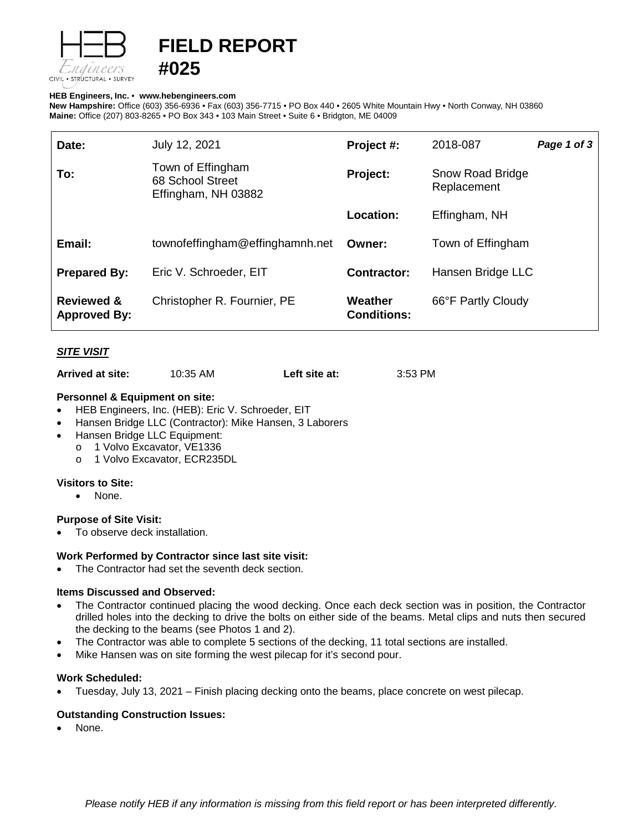

# **FIELD REPORT**

#### **HEB Engineers, Inc.** • **[www.hebengineer](http://www.hebengineers.com/)s.com**

**#025**

**New Hampshire:** Office (603) 356-6936 • Fax (603) 356-7715 • PO Box 440 • 2605 White Mountain Hwy • North Conway, NH 03860 **Maine:** Office (207) 803-8265 • PO Box 343 • 103 Main Street • Suite 6 • Bridgton, ME 04009

| Date:                                        | July 12, 2021                                                | Project #:                    | 2018-087                        | Page 1 of 3 |
|----------------------------------------------|--------------------------------------------------------------|-------------------------------|---------------------------------|-------------|
| To:                                          | Town of Effingham<br>68 School Street<br>Effingham, NH 03882 | Project:                      | Snow Road Bridge<br>Replacement |             |
|                                              |                                                              | Location:                     | Effingham, NH                   |             |
| Email:                                       | townofeffingham@effinghamnh.net                              | Owner:                        | Town of Effingham               |             |
| <b>Prepared By:</b>                          | Eric V. Schroeder, EIT                                       | <b>Contractor:</b>            | Hansen Bridge LLC               |             |
| <b>Reviewed &amp;</b><br><b>Approved By:</b> | Christopher R. Fournier, PE                                  | Weather<br><b>Conditions:</b> | 66°F Partly Cloudy              |             |

## *SITE VISIT*

**Arrived at site:** 10:35 AM **Left site at:** 3:53 PM

#### **Personnel & Equipment on site:**

- HEB Engineers, Inc. (HEB): Eric V. Schroeder, EIT
- Hansen Bridge LLC (Contractor): Mike Hansen, 3 Laborers
- Hansen Bridge LLC Equipment:
- - o 1 Volvo Excavator, VE1336<br>o 1 Volvo Excavator, ECR235 1 Volvo Excavator, ECR235DL

#### **Visitors to Site:**

• None.

### **Purpose of Site Visit:**

• To observe deck installation.

#### **Work Performed by Contractor since last site visit:**

The Contractor had set the seventh deck section.

#### **Items Discussed and Observed:**

- The Contractor continued placing the wood decking. Once each deck section was in position, the Contractor drilled holes into the decking to drive the bolts on either side of the beams. Metal clips and nuts then secured the decking to the beams (see Photos 1 and 2).
- The Contractor was able to complete 5 sections of the decking, 11 total sections are installed.
- Mike Hansen was on site forming the west pilecap for it's second pour.

#### **Work Scheduled:**

• Tuesday, July 13, 2021 – Finish placing decking onto the beams, place concrete on west pilecap.

#### **Outstanding Construction Issues:**

None.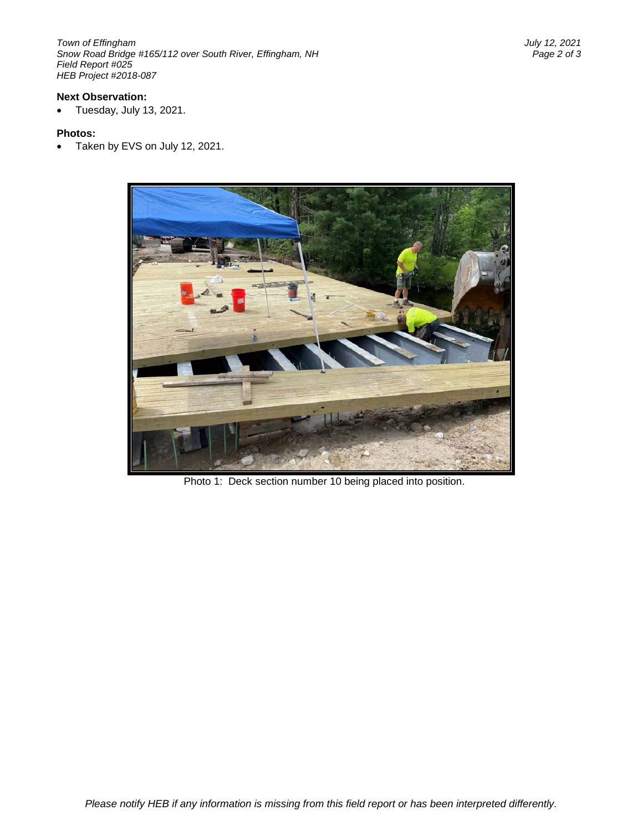*Town of Effingham July 12, 2021 Snow Road Bridge #165/112 over South River, Effingham, NH Field Report #025 HEB Project #2018-087*

#### **Next Observation:**

• Tuesday, July 13, 2021.

#### **Photos:**

• Taken by EVS on July 12, 2021.



Photo 1: Deck section number 10 being placed into position.